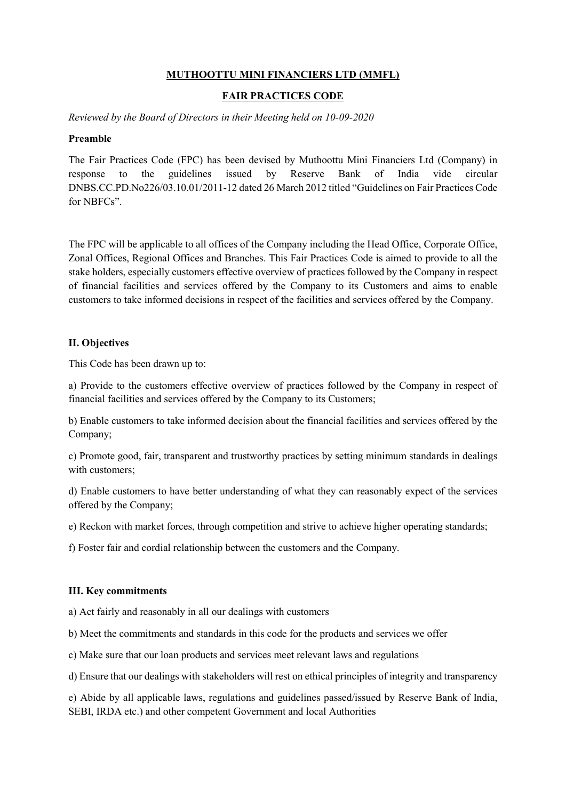## MUTHOOTTU MINI FINANCIERS LTD (MMFL)

#### FAIR PRACTICES CODE

Reviewed by the Board of Directors in their Meeting held on 10-09-2020

#### Preamble

The Fair Practices Code (FPC) has been devised by Muthoottu Mini Financiers Ltd (Company) in response to the guidelines issued by Reserve Bank of India vide circular DNBS.CC.PD.No226/03.10.01/2011-12 dated 26 March 2012 titled "Guidelines on Fair Practices Code for NBFCs".

The FPC will be applicable to all offices of the Company including the Head Office, Corporate Office, Zonal Offices, Regional Offices and Branches. This Fair Practices Code is aimed to provide to all the stake holders, especially customers effective overview of practices followed by the Company in respect of financial facilities and services offered by the Company to its Customers and aims to enable customers to take informed decisions in respect of the facilities and services offered by the Company.

#### II. Objectives

This Code has been drawn up to:

a) Provide to the customers effective overview of practices followed by the Company in respect of financial facilities and services offered by the Company to its Customers;

b) Enable customers to take informed decision about the financial facilities and services offered by the Company;

c) Promote good, fair, transparent and trustworthy practices by setting minimum standards in dealings with customers;

d) Enable customers to have better understanding of what they can reasonably expect of the services offered by the Company;

e) Reckon with market forces, through competition and strive to achieve higher operating standards;

f) Foster fair and cordial relationship between the customers and the Company.

#### III. Key commitments

a) Act fairly and reasonably in all our dealings with customers

b) Meet the commitments and standards in this code for the products and services we offer

c) Make sure that our loan products and services meet relevant laws and regulations

d) Ensure that our dealings with stakeholders will rest on ethical principles of integrity and transparency

e) Abide by all applicable laws, regulations and guidelines passed/issued by Reserve Bank of India, SEBI, IRDA etc.) and other competent Government and local Authorities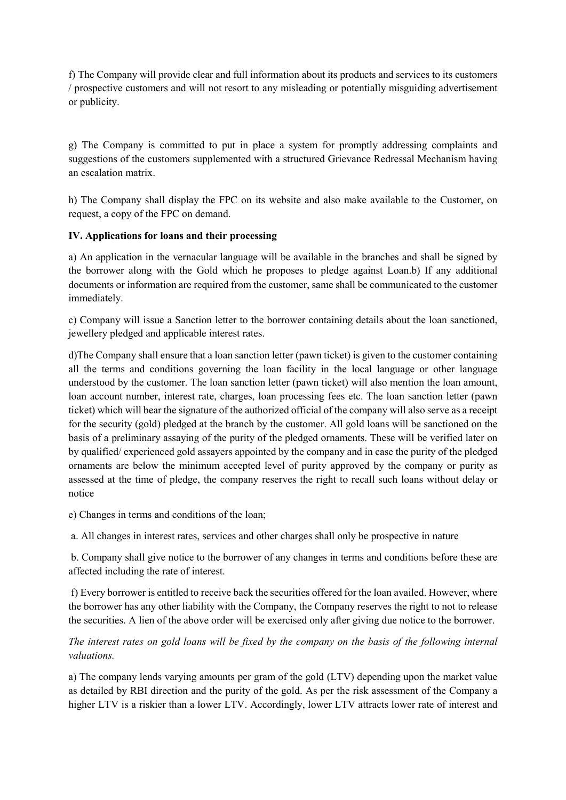f) The Company will provide clear and full information about its products and services to its customers / prospective customers and will not resort to any misleading or potentially misguiding advertisement or publicity.

g) The Company is committed to put in place a system for promptly addressing complaints and suggestions of the customers supplemented with a structured Grievance Redressal Mechanism having an escalation matrix.

h) The Company shall display the FPC on its website and also make available to the Customer, on request, a copy of the FPC on demand.

## IV. Applications for loans and their processing

a) An application in the vernacular language will be available in the branches and shall be signed by the borrower along with the Gold which he proposes to pledge against Loan.b) If any additional documents or information are required from the customer, same shall be communicated to the customer immediately.

c) Company will issue a Sanction letter to the borrower containing details about the loan sanctioned, jewellery pledged and applicable interest rates.

d)The Company shall ensure that a loan sanction letter (pawn ticket) is given to the customer containing all the terms and conditions governing the loan facility in the local language or other language understood by the customer. The loan sanction letter (pawn ticket) will also mention the loan amount, loan account number, interest rate, charges, loan processing fees etc. The loan sanction letter (pawn ticket) which will bear the signature of the authorized official of the company will also serve as a receipt for the security (gold) pledged at the branch by the customer. All gold loans will be sanctioned on the basis of a preliminary assaying of the purity of the pledged ornaments. These will be verified later on by qualified/ experienced gold assayers appointed by the company and in case the purity of the pledged ornaments are below the minimum accepted level of purity approved by the company or purity as assessed at the time of pledge, the company reserves the right to recall such loans without delay or notice

e) Changes in terms and conditions of the loan;

a. All changes in interest rates, services and other charges shall only be prospective in nature

 b. Company shall give notice to the borrower of any changes in terms and conditions before these are affected including the rate of interest.

 f) Every borrower is entitled to receive back the securities offered for the loan availed. However, where the borrower has any other liability with the Company, the Company reserves the right to not to release the securities. A lien of the above order will be exercised only after giving due notice to the borrower.

# The interest rates on gold loans will be fixed by the company on the basis of the following internal valuations.

a) The company lends varying amounts per gram of the gold (LTV) depending upon the market value as detailed by RBI direction and the purity of the gold. As per the risk assessment of the Company a higher LTV is a riskier than a lower LTV. Accordingly, lower LTV attracts lower rate of interest and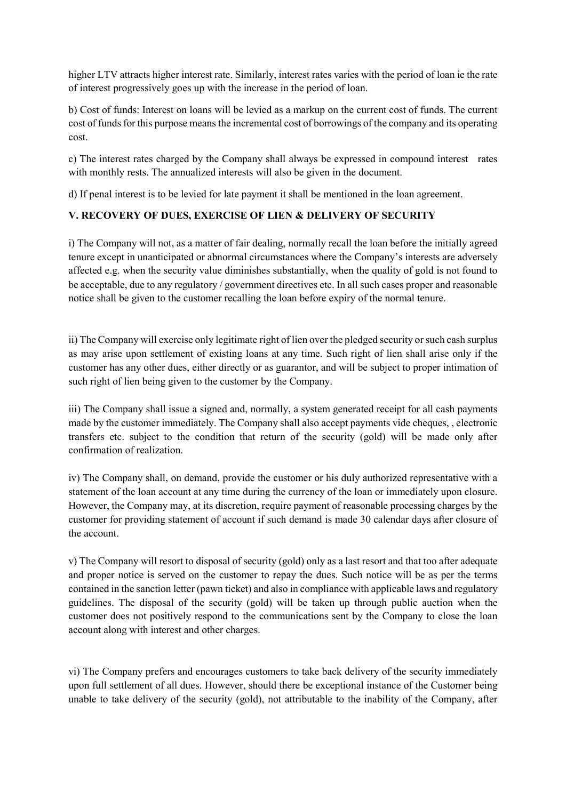higher LTV attracts higher interest rate. Similarly, interest rates varies with the period of loan ie the rate of interest progressively goes up with the increase in the period of loan.

b) Cost of funds: Interest on loans will be levied as a markup on the current cost of funds. The current cost of funds for this purpose means the incremental cost of borrowings of the company and its operating cost.

c) The interest rates charged by the Company shall always be expressed in compound interest rates with monthly rests. The annualized interests will also be given in the document.

d) If penal interest is to be levied for late payment it shall be mentioned in the loan agreement.

## V. RECOVERY OF DUES, EXERCISE OF LIEN & DELIVERY OF SECURITY

i) The Company will not, as a matter of fair dealing, normally recall the loan before the initially agreed tenure except in unanticipated or abnormal circumstances where the Company's interests are adversely affected e.g. when the security value diminishes substantially, when the quality of gold is not found to be acceptable, due to any regulatory / government directives etc. In all such cases proper and reasonable notice shall be given to the customer recalling the loan before expiry of the normal tenure.

ii) The Company will exercise only legitimate right of lien over the pledged security or such cash surplus as may arise upon settlement of existing loans at any time. Such right of lien shall arise only if the customer has any other dues, either directly or as guarantor, and will be subject to proper intimation of such right of lien being given to the customer by the Company.

iii) The Company shall issue a signed and, normally, a system generated receipt for all cash payments made by the customer immediately. The Company shall also accept payments vide cheques, , electronic transfers etc. subject to the condition that return of the security (gold) will be made only after confirmation of realization.

iv) The Company shall, on demand, provide the customer or his duly authorized representative with a statement of the loan account at any time during the currency of the loan or immediately upon closure. However, the Company may, at its discretion, require payment of reasonable processing charges by the customer for providing statement of account if such demand is made 30 calendar days after closure of the account.

v) The Company will resort to disposal of security (gold) only as a last resort and that too after adequate and proper notice is served on the customer to repay the dues. Such notice will be as per the terms contained in the sanction letter (pawn ticket) and also in compliance with applicable laws and regulatory guidelines. The disposal of the security (gold) will be taken up through public auction when the customer does not positively respond to the communications sent by the Company to close the loan account along with interest and other charges.

vi) The Company prefers and encourages customers to take back delivery of the security immediately upon full settlement of all dues. However, should there be exceptional instance of the Customer being unable to take delivery of the security (gold), not attributable to the inability of the Company, after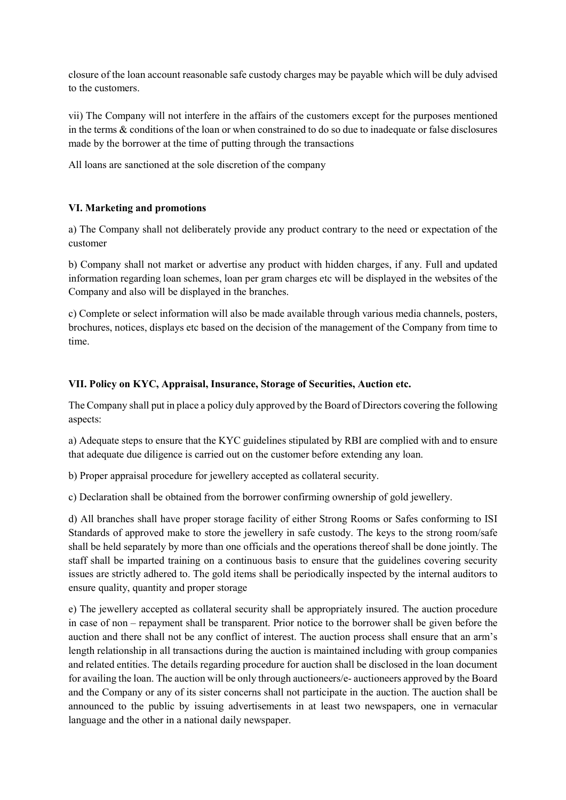closure of the loan account reasonable safe custody charges may be payable which will be duly advised to the customers.

vii) The Company will not interfere in the affairs of the customers except for the purposes mentioned in the terms & conditions of the loan or when constrained to do so due to inadequate or false disclosures made by the borrower at the time of putting through the transactions

All loans are sanctioned at the sole discretion of the company

### VI. Marketing and promotions

a) The Company shall not deliberately provide any product contrary to the need or expectation of the customer

b) Company shall not market or advertise any product with hidden charges, if any. Full and updated information regarding loan schemes, loan per gram charges etc will be displayed in the websites of the Company and also will be displayed in the branches.

c) Complete or select information will also be made available through various media channels, posters, brochures, notices, displays etc based on the decision of the management of the Company from time to time.

### VII. Policy on KYC, Appraisal, Insurance, Storage of Securities, Auction etc.

The Company shall put in place a policy duly approved by the Board of Directors covering the following aspects:

a) Adequate steps to ensure that the KYC guidelines stipulated by RBI are complied with and to ensure that adequate due diligence is carried out on the customer before extending any loan.

b) Proper appraisal procedure for jewellery accepted as collateral security.

c) Declaration shall be obtained from the borrower confirming ownership of gold jewellery.

d) All branches shall have proper storage facility of either Strong Rooms or Safes conforming to ISI Standards of approved make to store the jewellery in safe custody. The keys to the strong room/safe shall be held separately by more than one officials and the operations thereof shall be done jointly. The staff shall be imparted training on a continuous basis to ensure that the guidelines covering security issues are strictly adhered to. The gold items shall be periodically inspected by the internal auditors to ensure quality, quantity and proper storage

e) The jewellery accepted as collateral security shall be appropriately insured. The auction procedure in case of non – repayment shall be transparent. Prior notice to the borrower shall be given before the auction and there shall not be any conflict of interest. The auction process shall ensure that an arm's length relationship in all transactions during the auction is maintained including with group companies and related entities. The details regarding procedure for auction shall be disclosed in the loan document for availing the loan. The auction will be only through auctioneers/e- auctioneers approved by the Board and the Company or any of its sister concerns shall not participate in the auction. The auction shall be announced to the public by issuing advertisements in at least two newspapers, one in vernacular language and the other in a national daily newspaper.